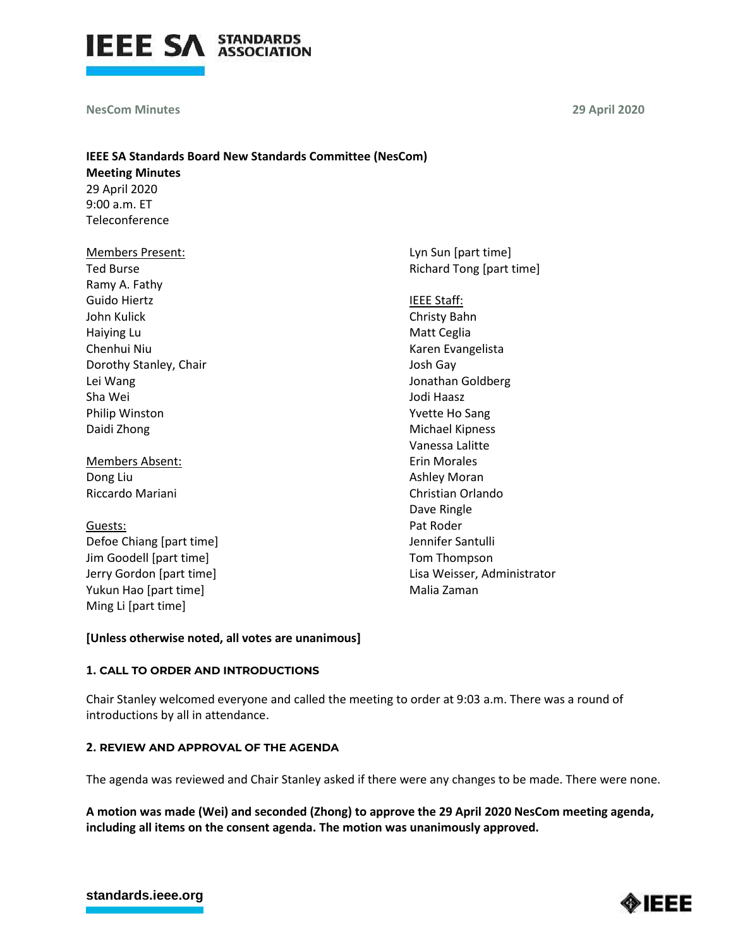

#### **NesCom Minutes**

**29 April 2020**

# **IEEE SA Standards Board New Standards Committee (NesCom) Meeting Minutes** 29 April 2020 9:00 a.m. ET Teleconference

| <b>Members Present:</b>  | Lyn Sun [part time]      |
|--------------------------|--------------------------|
| <b>Ted Burse</b>         | Richard Tong [part time] |
| Ramy A. Fathy            |                          |
| Guido Hiertz             | <b>IEEE Staff:</b>       |
| John Kulick              | Christy Bahn             |
| Haiying Lu               | Matt Ceglia              |
| Chenhui Niu              | Karen Evangelista        |
| Dorothy Stanley, Chair   | Josh Gay                 |
| Lei Wang                 | Jonathan Goldberg        |
| Sha Wei                  | Jodi Haasz               |
| Philip Winston           | <b>Yvette Ho Sang</b>    |
| Daidi Zhong              | <b>Michael Kipness</b>   |
|                          | Vanessa Lalitte          |
| Members Absent:          | Erin Morales             |
| Dong Liu                 | Ashley Moran             |
| Riccardo Mariani         | Christian Orlando        |
|                          | Dave Ringle              |
| Guests:                  | Pat Roder                |
| Defoe Chiang [part time] | Jennifer Santulli        |

Jim Goodell [part time] Jerry Gordon [part time] Yukun Hao [part time] Ming Li [part time]

### **[Unless otherwise noted, all votes are unanimous]**

### **1. CALL TO ORDER AND INTRODUCTIONS**

Chair Stanley welcomed everyone and called the meeting to order at 9:03 a.m. There was a round of introductions by all in attendance.

#### **2. REVIEW AND APPROVAL OF THE AGENDA**

The agenda was reviewed and Chair Stanley asked if there were any changes to be made. There were none.

Tom Thompson

Malia Zaman

Lisa Weisser, Administrator

**A motion was made (Wei) and seconded (Zhong) to approve the 29 April 2020 NesCom meeting agenda, including all items on the consent agenda. The motion was unanimously approved.**



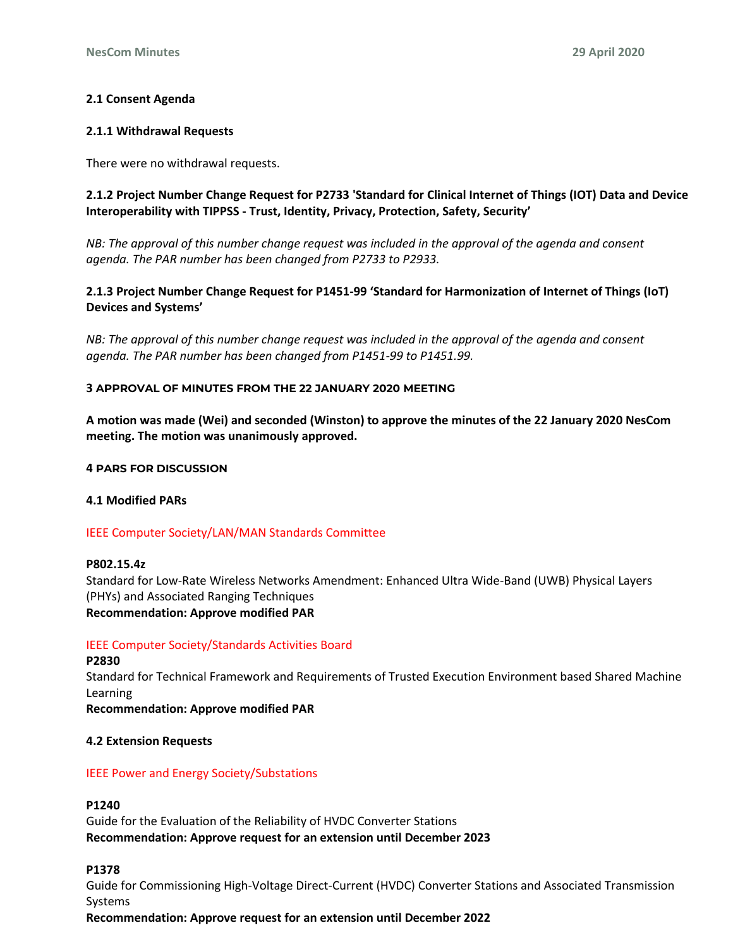# **2.1 Consent Agenda**

## **2.1.1 Withdrawal Requests**

There were no withdrawal requests.

**2.1.2 Project Number Change Request for P2733 'Standard for Clinical Internet of Things (IOT) Data and Device Interoperability with TIPPSS - Trust, Identity, Privacy, Protection, Safety, Security'** 

*NB: The approval of this number change request was included in the approval of the agenda and consent agenda. The PAR number has been changed from P2733 to P2933.*

# **2.1.3 Project Number Change Request for P1451-99 'Standard for Harmonization of Internet of Things (IoT) Devices and Systems'**

*NB: The approval of this number change request was included in the approval of the agenda and consent agenda. The PAR number has been changed from P1451-99 to P1451.99.*

## **3 APPROVAL OF MINUTES FROM THE 22 JANUARY 2020 MEETING**

**A motion was made (Wei) and seconded (Winston) to approve the minutes of the 22 January 2020 NesCom meeting. The motion was unanimously approved.**

## **4 PARS FOR DISCUSSION**

### **4.1 Modified PARs**

# IEEE Computer Society/LAN/MAN Standards Committee

### **P802.15.4z**

Standard for Low-Rate Wireless Networks Amendment: Enhanced Ultra Wide-Band (UWB) Physical Layers (PHYs) and Associated Ranging Techniques **Recommendation: Approve modified PAR**

### IEEE Computer Society/Standards Activities Board

**P2830** Standard for Technical Framework and Requirements of Trusted Execution Environment based Shared Machine Learning **Recommendation: Approve modified PAR**

### **4.2 Extension Requests**

# IEEE Power and Energy Society/Substations

### **P1240**

Guide for the Evaluation of the Reliability of HVDC Converter Stations **Recommendation: Approve request for an extension until December 2023**

# **P1378**

Guide for Commissioning High-Voltage Direct-Current (HVDC) Converter Stations and Associated Transmission Systems

**Recommendation: Approve request for an extension until December 2022**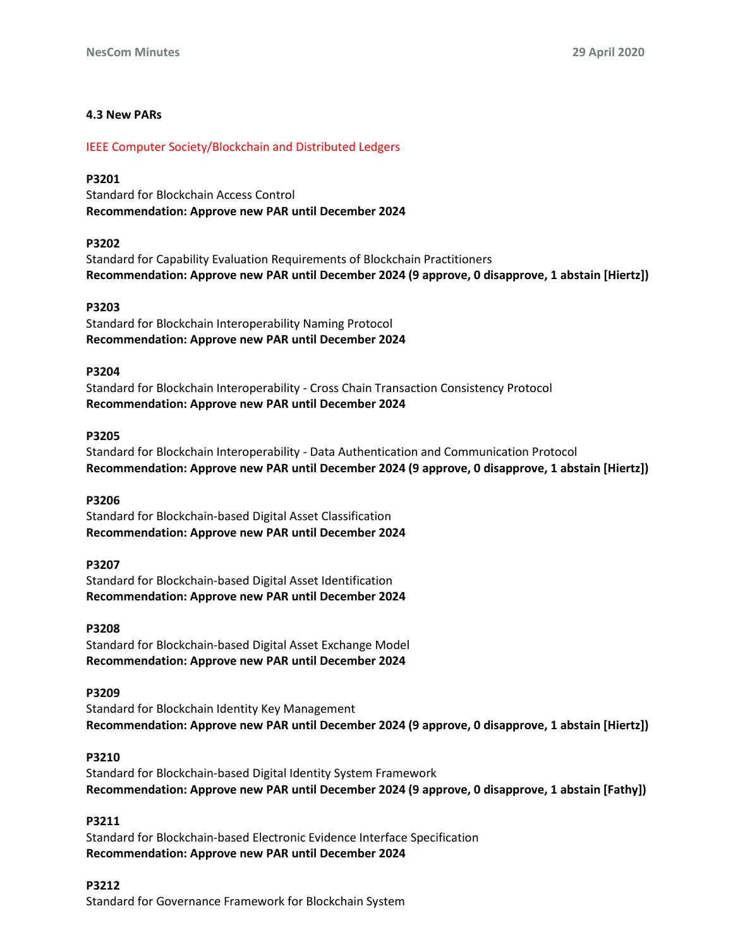# **4.3 New PARs**

IEEE Computer Society/Blockchain and Distributed Ledgers

# **P3201**

Standard for Blockchain Access Control **Recommendation: Approve new PAR until December 2024**

# **P3202**

Standard for Capability Evaluation Requirements of Blockchain Practitioners **Recommendation: Approve new PAR until December 2024 (9 approve, 0 disapprove, 1 abstain [Hiertz])**

## **P3203**

Standard for Blockchain Interoperability Naming Protocol **Recommendation: Approve new PAR until December 2024**

## **P3204**

Standard for Blockchain Interoperability - Cross Chain Transaction Consistency Protocol **Recommendation: Approve new PAR until December 2024**

## **P3205**

Standard for Blockchain Interoperability - Data Authentication and Communication Protocol **Recommendation: Approve new PAR until December 2024 (9 approve, 0 disapprove, 1 abstain [Hiertz])**

### **P3206**

Standard for Blockchain-based Digital Asset Classification **Recommendation: Approve new PAR until December 2024**

### **P3207**

Standard for Blockchain-based Digital Asset Identification **Recommendation: Approve new PAR until December 2024**

### **P3208**

Standard for Blockchain-based Digital Asset Exchange Model **Recommendation: Approve new PAR until December 2024**

# **P3209**

Standard for Blockchain Identity Key Management **Recommendation: Approve new PAR until December 2024 (9 approve, 0 disapprove, 1 abstain [Hiertz])**

# **P3210**

Standard for Blockchain-based Digital Identity System Framework **Recommendation: Approve new PAR until December 2024 (9 approve, 0 disapprove, 1 abstain [Fathy])**

# **P3211**

Standard for Blockchain-based Electronic Evidence Interface Specification **Recommendation: Approve new PAR until December 2024**

# **P3212**

Standard for Governance Framework for Blockchain System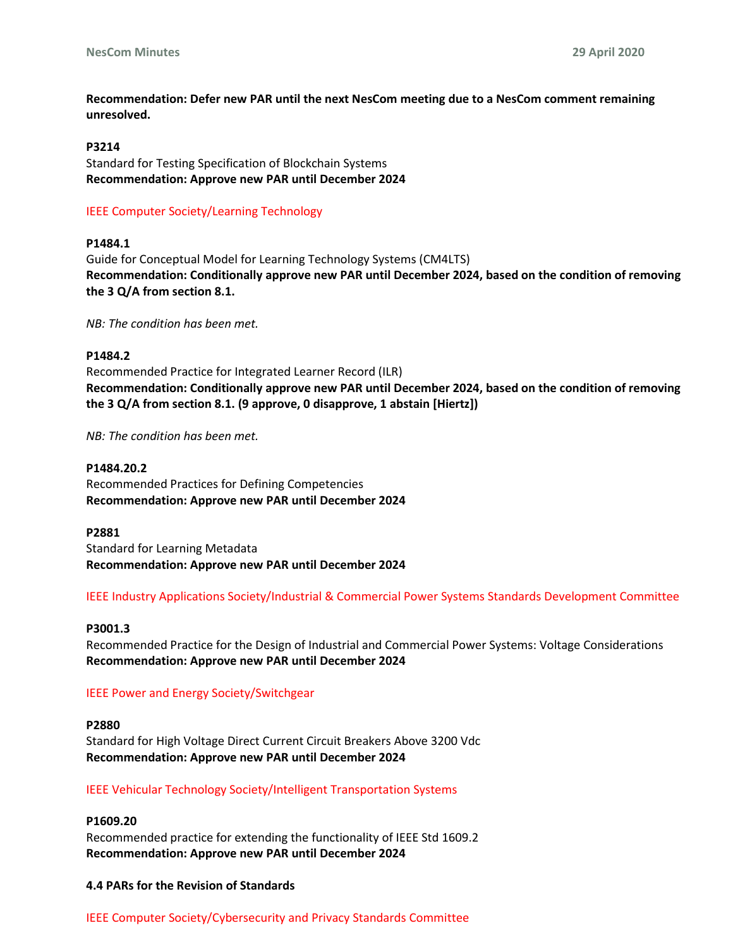**Recommendation: Defer new PAR until the next NesCom meeting due to a NesCom comment remaining unresolved.**

### **P3214**

Standard for Testing Specification of Blockchain Systems **Recommendation: Approve new PAR until December 2024**

### IEEE Computer Society/Learning Technology

### **P1484.1**

Guide for Conceptual Model for Learning Technology Systems (CM4LTS) **Recommendation: Conditionally approve new PAR until December 2024, based on the condition of removing the 3 Q/A from section 8.1.**

*NB: The condition has been met.*

#### **P1484.2**

Recommended Practice for Integrated Learner Record (ILR) **Recommendation: Conditionally approve new PAR until December 2024, based on the condition of removing the 3 Q/A from section 8.1. (9 approve, 0 disapprove, 1 abstain [Hiertz])**

*NB: The condition has been met.*

#### **P1484.20.2**

Recommended Practices for Defining Competencies **Recommendation: Approve new PAR until December 2024**

#### **P2881**

Standard for Learning Metadata **Recommendation: Approve new PAR until December 2024**

IEEE Industry Applications Society/Industrial & Commercial Power Systems Standards Development Committee

#### **P3001.3**

Recommended Practice for the Design of Industrial and Commercial Power Systems: Voltage Considerations **Recommendation: Approve new PAR until December 2024**

#### IEEE Power and Energy Society/Switchgear

**P2880** Standard for High Voltage Direct Current Circuit Breakers Above 3200 Vdc **Recommendation: Approve new PAR until December 2024**

#### IEEE Vehicular Technology Society/Intelligent Transportation Systems

#### **P1609.20**

Recommended practice for extending the functionality of IEEE Std 1609.2 **Recommendation: Approve new PAR until December 2024**

#### **4.4 PARs for the Revision of Standards**

IEEE Computer Society/Cybersecurity and Privacy Standards Committee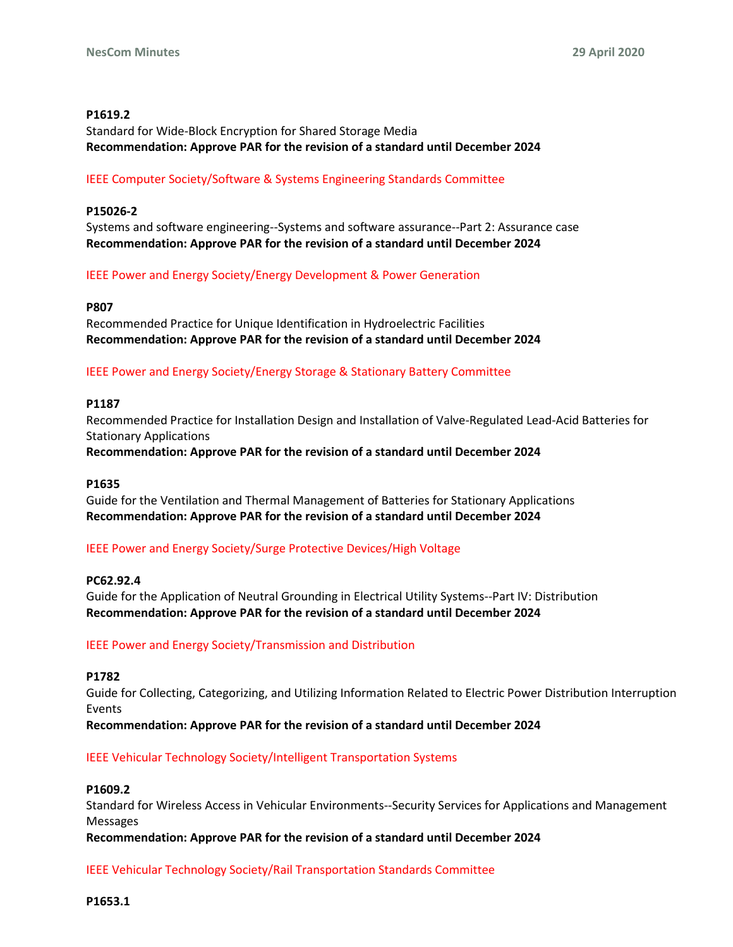### **P1619.2**

Standard for Wide-Block Encryption for Shared Storage Media **Recommendation: Approve PAR for the revision of a standard until December 2024**

## IEEE Computer Society/Software & Systems Engineering Standards Committee

## **P15026-2**

Systems and software engineering--Systems and software assurance--Part 2: Assurance case **Recommendation: Approve PAR for the revision of a standard until December 2024**

## IEEE Power and Energy Society/Energy Development & Power Generation

### **P807**

Recommended Practice for Unique Identification in Hydroelectric Facilities **Recommendation: Approve PAR for the revision of a standard until December 2024**

# IEEE Power and Energy Society/Energy Storage & Stationary Battery Committee

### **P1187**

Recommended Practice for Installation Design and Installation of Valve-Regulated Lead-Acid Batteries for Stationary Applications

**Recommendation: Approve PAR for the revision of a standard until December 2024**

### **P1635**

Guide for the Ventilation and Thermal Management of Batteries for Stationary Applications **Recommendation: Approve PAR for the revision of a standard until December 2024**

### IEEE Power and Energy Society/Surge Protective Devices/High Voltage

### **PC62.92.4**

Guide for the Application of Neutral Grounding in Electrical Utility Systems--Part IV: Distribution **Recommendation: Approve PAR for the revision of a standard until December 2024**

### IEEE Power and Energy Society/Transmission and Distribution

### **P1782**

Guide for Collecting, Categorizing, and Utilizing Information Related to Electric Power Distribution Interruption Events

**Recommendation: Approve PAR for the revision of a standard until December 2024**

### IEEE Vehicular Technology Society/Intelligent Transportation Systems

### **P1609.2**

Standard for Wireless Access in Vehicular Environments--Security Services for Applications and Management Messages

**Recommendation: Approve PAR for the revision of a standard until December 2024**

IEEE Vehicular Technology Society/Rail Transportation Standards Committee